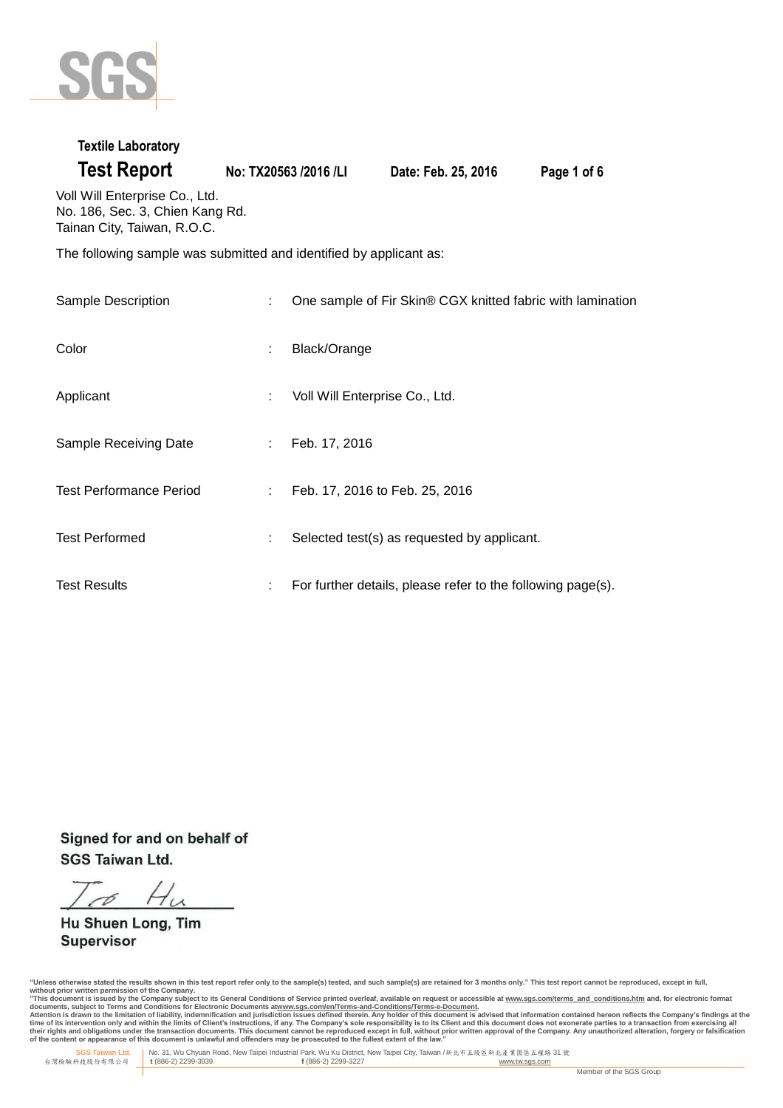

### **Textile Laboratory**

**Test Report No: TX20563 /2016 /LI Date: Feb. 25, 2016 Page 1 of 6**

Voll Will Enterprise Co., Ltd. No. 186, Sec. 3, Chien Kang Rd. Tainan City, Taiwan, R.O.C.

The following sample was submitted and identified by applicant as:

| Sample Description             | ÷  | One sample of Fir Skin® CGX knitted fabric with lamination  |
|--------------------------------|----|-------------------------------------------------------------|
| Color                          | ÷  | Black/Orange                                                |
| Applicant                      | t. | Voll Will Enterprise Co., Ltd.                              |
| Sample Receiving Date          | ÷. | Feb. 17, 2016                                               |
| <b>Test Performance Period</b> | ÷. | Feb. 17, 2016 to Feb. 25, 2016                              |
| <b>Test Performed</b>          | ÷  | Selected test(s) as requested by applicant.                 |
| <b>Test Results</b>            | ÷  | For further details, please refer to the following page(s). |

Signed for and on behalf of **SGS Taiwan Ltd.** 

Hu Shuen Long, Tim **Supervisor** 

"Unless otherwise stated the results shown in this test report refer only to the sample(s) tested, and such sample(s) are retained for 3 months only." This test report cannot be reproduced, except in full,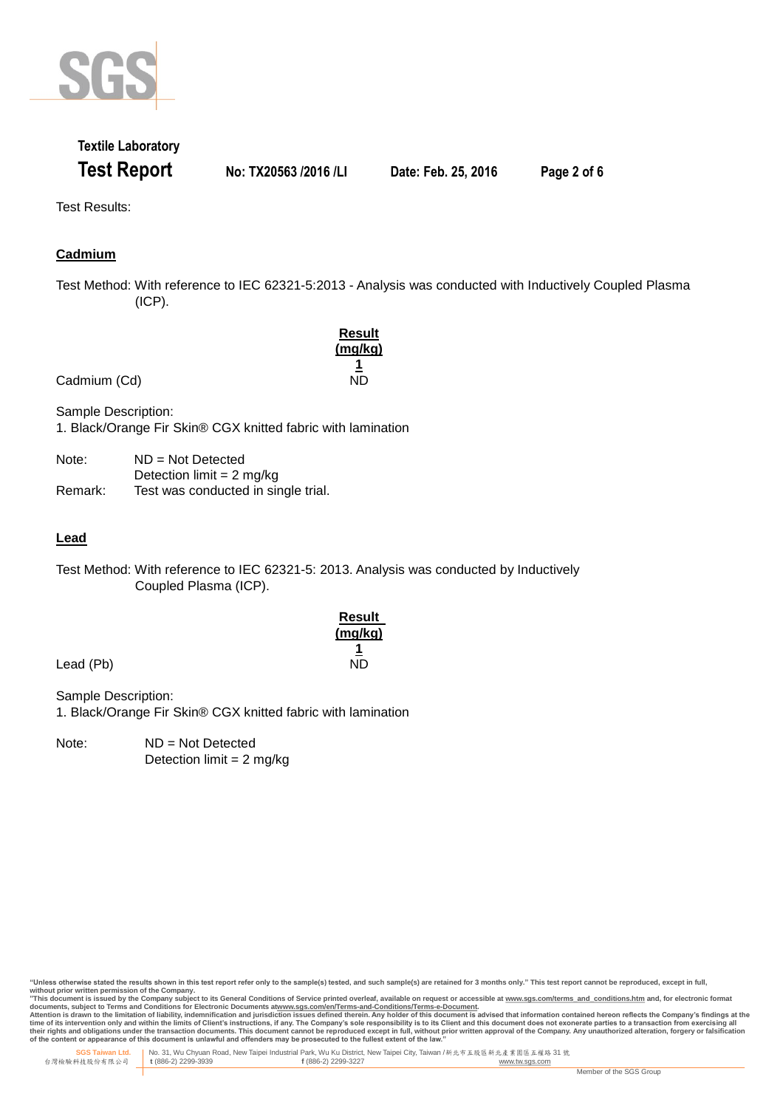

## **Textile Laboratory Test Report No: TX20563 /2016 /LI Date: Feb. 25, 2016 Page 2 of 6**

Test Results:

### **Cadmium**

Test Method: With reference to IEC 62321-5:2013 - Analysis was conducted with Inductively Coupled Plasma (ICP).

|              | Result  |
|--------------|---------|
|              | (mg/kg) |
|              |         |
| Cadmium (Cd) | ND      |

Sample Description: 1. Black/Orange Fir Skin® CGX knitted fabric with lamination

| Note:   | $ND = Not$ Detected                 |
|---------|-------------------------------------|
|         | Detection limit = $2 \text{ mg/kg}$ |
| Remark: | Test was conducted in single trial. |

### **Lead**

Test Method: With reference to IEC 62321-5: 2013. Analysis was conducted by Inductively Coupled Plasma (ICP).

| Result         |
|----------------|
| <u>(mg/kg)</u> |
| 1              |
| ND             |

Lead (Pb)

Sample Description: 1. Black/Orange Fir Skin® CGX knitted fabric with lamination

Note: ND = Not Detected Detection limit  $= 2$  mg/kg

"Unless otherwise stated the results shown in this test report refer only to the sample(s) tested, and such sample(s) are retained for 3 months only." This test report cannot be reproduced, except in full, **without prior written permission of the Company.** 

"This document is issued by the Company subject to its General Conditions of Service printed overleaf, available on request or accessible at <u>www.sqs.com/terms and conditions.htm</u> and, for electronic format<br>documents, subj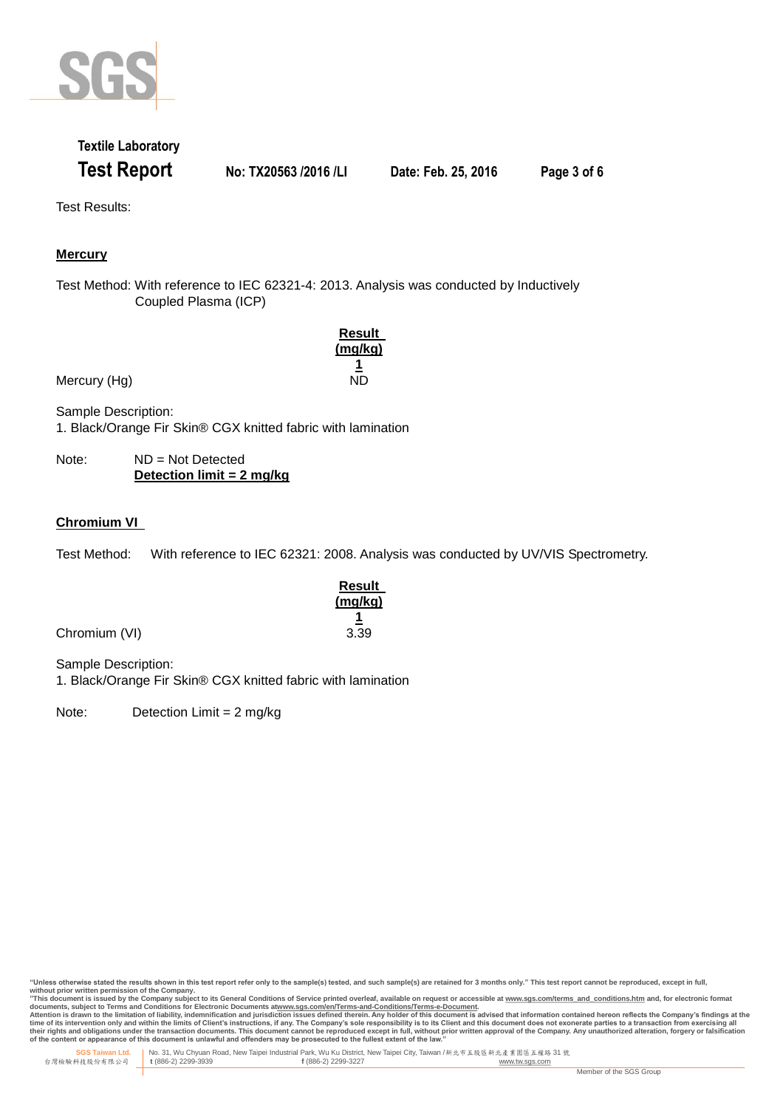

## **Textile Laboratory Test Report No: TX20563 /2016 /LI Date: Feb. 25, 2016 Page 3 of 6**

Test Results:

### **Mercury**

Test Method: With reference to IEC 62321-4: 2013. Analysis was conducted by Inductively Coupled Plasma (ICP)

|              | <b>Result</b><br>(mg/kg) |
|--------------|--------------------------|
| Mercury (Hg) | 1<br>ND                  |

Sample Description: 1. Black/Orange Fir Skin® CGX knitted fabric with lamination

Note: ND = Not Detected **Detection limit = 2 mg/kg**

### **Chromium VI**

Test Method: With reference to IEC 62321: 2008. Analysis was conducted by UV/VIS Spectrometry.

| <b>Result</b> |
|---------------|
| (mq/kg)       |
|               |
| 3.39          |

Chromium (VI)

Sample Description:

1. Black/Orange Fir Skin® CGX knitted fabric with lamination

Note: Detection Limit = 2 mg/kg

"Unless otherwise stated the results shown in this test report refer only to the sample(s) tested, and such sample(s) are retained for 3 months only." This test report cannot be reproduced, except in full,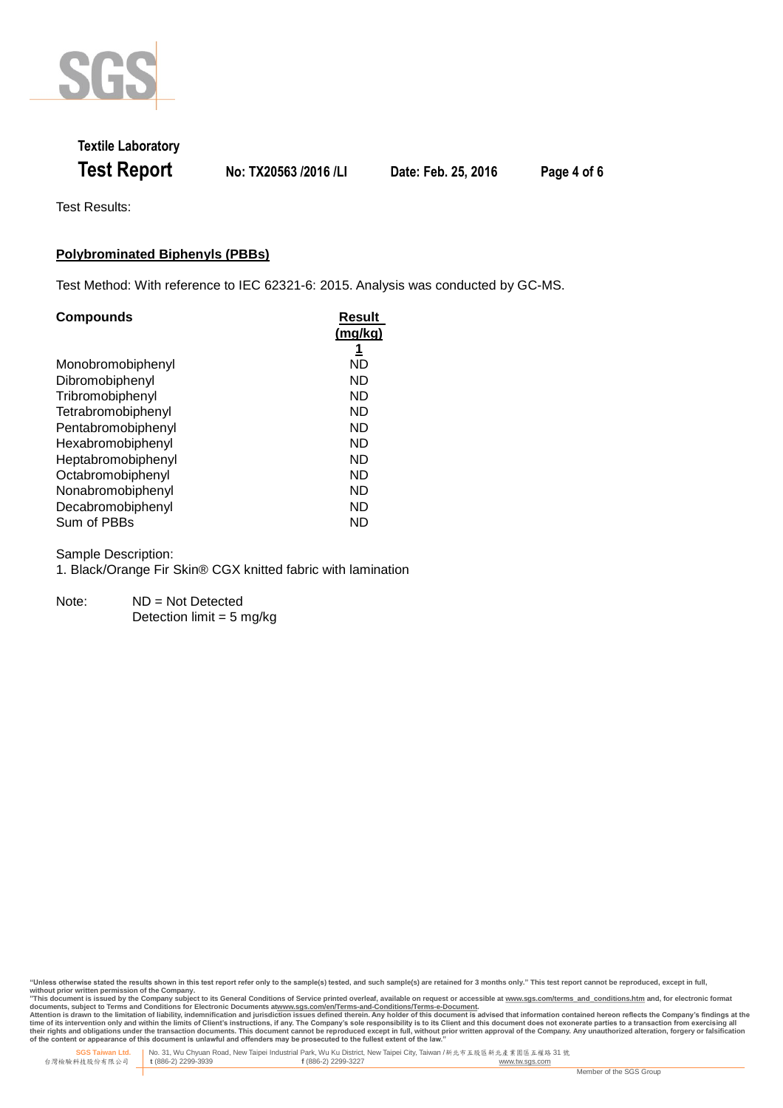

# **Textile Laboratory Test Report No: TX20563 /2016 /LI Date: Feb. 25, 2016 Page 4 of 6**

Test Results:

#### **Polybrominated Biphenyls (PBBs)**

Test Method: With reference to IEC 62321-6: 2015. Analysis was conducted by GC-MS.

| <b>Compounds</b>   | <b>Result</b> |
|--------------------|---------------|
|                    | (mg/kg)       |
|                    | 1             |
| Monobromobiphenyl  | ND            |
| Dibromobiphenyl    | ND            |
| Tribromobiphenyl   | ND            |
| Tetrabromobiphenyl | ND            |
| Pentabromobiphenyl | ND            |
| Hexabromobiphenyl  | ND            |
| Heptabromobiphenyl | ND            |
| Octabromobiphenyl  | ND            |
| Nonabromobiphenyl  | ND            |
| Decabromobiphenyl  | ND            |
| Sum of PBBs        | ND            |

Sample Description:

1. Black/Orange Fir Skin® CGX knitted fabric with lamination

Note: ND = Not Detected Detection limit  $= 5$  mg/kg

"Unless otherwise stated the results shown in this test report refer only to the sample(s) tested, and such sample(s) are retained for 3 months only." This test report cannot be reproduced, except in full,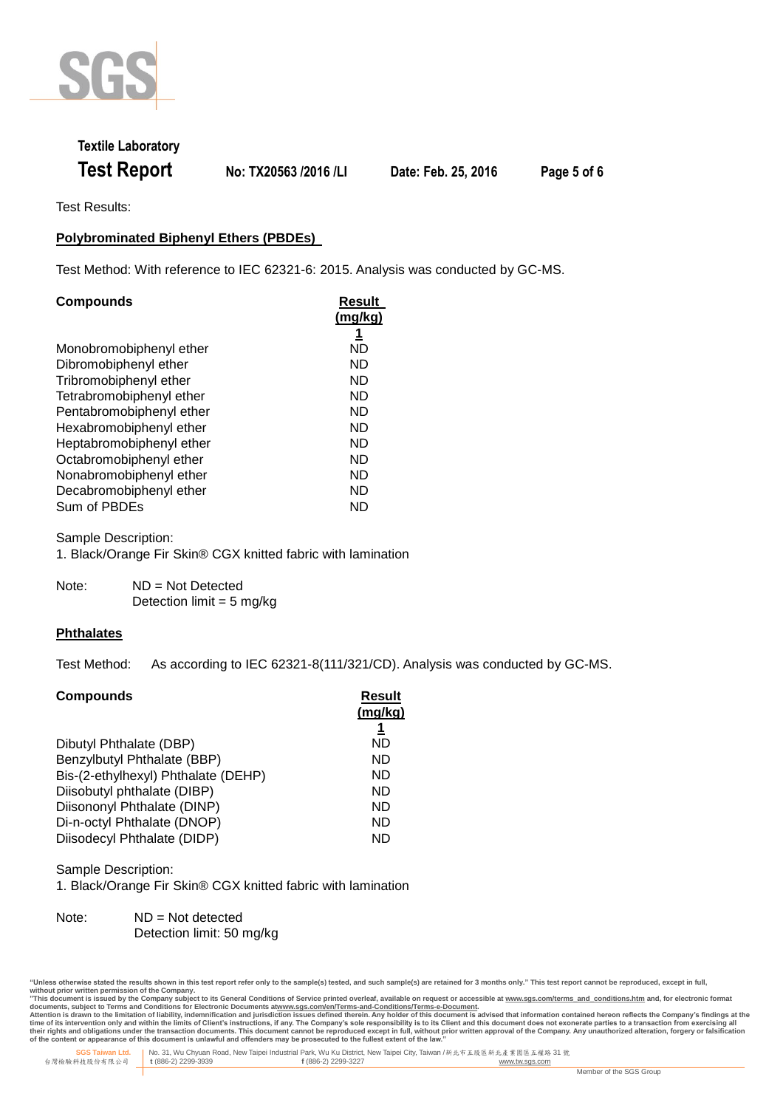

## **Textile Laboratory Test Report No: TX20563 /2016 /LI Date: Feb. 25, 2016 Page 5 of 6**

Test Results:

### **Polybrominated Biphenyl Ethers (PBDEs)**

Test Method: With reference to IEC 62321-6: 2015. Analysis was conducted by GC-MS.

| <b>Compounds</b>         | Result<br>(mg/kg) |
|--------------------------|-------------------|
|                          | <u>1</u>          |
| Monobromobiphenyl ether  | ND                |
| Dibromobiphenyl ether    | ND                |
| Tribromobiphenyl ether   | ND                |
| Tetrabromobiphenyl ether | ND                |
| Pentabromobiphenyl ether | ND                |
| Hexabromobiphenyl ether  | ND                |
| Heptabromobiphenyl ether | ND                |
| Octabromobiphenyl ether  | ND                |
| Nonabromobiphenyl ether  | ND                |
| Decabromobiphenyl ether  | ND                |
| Sum of PBDEs             | ND                |

Sample Description: 1. Black/Orange Fir Skin® CGX knitted fabric with lamination

Note: ND = Not Detected Detection limit =  $5 \text{ ma/ka}$ 

#### **Phthalates**

Test Method: As according to IEC 62321-8(111/321/CD). Analysis was conducted by GC-MS.

| <b>Compounds</b>                    | Result<br>(mg/kg) |
|-------------------------------------|-------------------|
| Dibutyl Phthalate (DBP)             | ND                |
| Benzylbutyl Phthalate (BBP)         | ND                |
| Bis-(2-ethylhexyl) Phthalate (DEHP) | ND                |
| Diisobutyl phthalate (DIBP)         | ND                |
| Diisononyl Phthalate (DINP)         | ND                |
| Di-n-octyl Phthalate (DNOP)         | ND                |
| Diisodecyl Phthalate (DIDP)         | ND                |

Sample Description:

1. Black/Orange Fir Skin® CGX knitted fabric with lamination

Note: ND = Not detected Detection limit: 50 mg/kg

<sup>&</sup>quot;Unless otherwise stated the results shown in this test report refer only to the sample(s) tested, and such sample(s) are retained for 3 months only." This test report cannot be reproduced, except in full,

without prior written permission of the Company.<br>"This document is issued by the Company subject to its General Conditions of Service printed overleaf, available on request or accessible at <u>www.sqs.com/terms and condition</u>